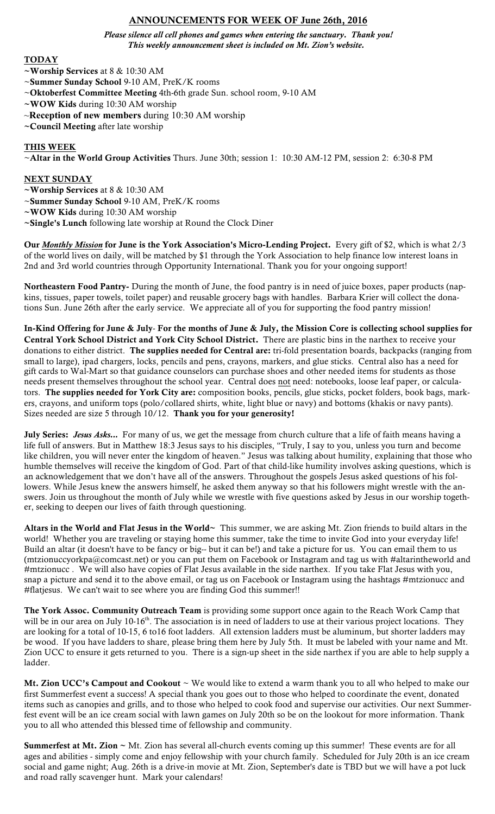# ANNOUNCEMENTS FOR WEEK OF June 26th, 2016

*Please silence all cell phones and games when entering the sanctuary. Thank you! This weekly announcement sheet is included on Mt. Zion's website.*

#### TODAY

~Worship Services at 8 & 10:30 AM

- ~Summer Sunday School 9-10 AM, PreK/K rooms
- ~Oktoberfest Committee Meeting 4th-6th grade Sun. school room, 9-10 AM
- ~WOW Kids during 10:30 AM worship
- ~**Reception of new members** during 10:30 AM worship
- ~Council Meeting after late worship

### THIS WEEK

~Altar in the World Group Activities Thurs. June 30th; session 1: 10:30 AM-12 PM, session 2: 6:30-8 PM

#### NEXT SUNDAY

- ~Worship Services at 8 & 10:30 AM
- ~Summer Sunday School 9-10 AM, PreK/K rooms
- ~WOW Kids during 10:30 AM worship
- ~Single's Lunch following late worship at Round the Clock Diner

Our *Monthly Mission* for June is the York Association's Micro-Lending Project. Every gift of \$2, which is what 2/3 of the world lives on daily, will be matched by \$1 through the York Association to help finance low interest loans in 2nd and 3rd world countries through Opportunity International. Thank you for your ongoing support!

Northeastern Food Pantry- During the month of June, the food pantry is in need of juice boxes, paper products (napkins, tissues, paper towels, toilet paper) and reusable grocery bags with handles. Barbara Krier will collect the donations Sun. June 26th after the early service. We appreciate all of you for supporting the food pantry mission!

In-Kind Offering for June & July- For the months of June & July, the Mission Core is collecting school supplies for Central York School District and York City School District. There are plastic bins in the narthex to receive your donations to either district. The supplies needed for Central are: tri-fold presentation boards, backpacks (ranging from small to large), ipad chargers, locks, pencils and pens, crayons, markers, and glue sticks. Central also has a need for gift cards to Wal-Mart so that guidance counselors can purchase shoes and other needed items for students as those needs present themselves throughout the school year. Central does not need: notebooks, loose leaf paper, or calculators. The supplies needed for York City are: composition books, pencils, glue sticks, pocket folders, book bags, markers, crayons, and uniform tops (polo/collared shirts, white, light blue or navy) and bottoms (khakis or navy pants). Sizes needed are size 5 through 10/12. Thank you for your generosity!

July Series: Jesus Asks... For many of us, we get the message from church culture that a life of faith means having a life full of answers. But in Matthew 18:3 Jesus says to his disciples, "Truly, I say to you, unless you turn and become like children, you will never enter the kingdom of heaven." Jesus was talking about humility, explaining that those who humble themselves will receive the kingdom of God. Part of that child-like humility involves asking questions, which is an acknowledgement that we don't have all of the answers. Throughout the gospels Jesus asked questions of his followers. While Jesus knew the answers himself, he asked them anyway so that his followers might wrestle with the answers. Join us throughout the month of July while we wrestle with five questions asked by Jesus in our worship together, seeking to deepen our lives of faith through questioning.

Altars in the World and Flat Jesus in the World~ This summer, we are asking Mt. Zion friends to build altars in the world! Whether you are traveling or staying home this summer, take the time to invite God into your everyday life! Build an altar (it doesn't have to be fancy or big-- but it can be!) and take a picture for us. You can email them to us (mtzionuccyorkpa@comcast.net) or you can put them on Facebook or Instagram and tag us with #altarintheworld and #mtzionucc . We will also have copies of Flat Jesus available in the side narthex. If you take Flat Jesus with you, snap a picture and send it to the above email, or tag us on Facebook or Instagram using the hashtags #mtzionucc and #flatjesus. We can't wait to see where you are finding God this summer!!

The York Assoc. Community Outreach Team is providing some support once again to the Reach Work Camp that will be in our area on July  $10^{-16}$ . The association is in need of ladders to use at their various project locations. They are looking for a total of 10-15, 6 to16 foot ladders. All extension ladders must be aluminum, but shorter ladders may be wood. If you have ladders to share, please bring them here by July 5th. It must be labeled with your name and Mt. Zion UCC to ensure it gets returned to you. There is a sign-up sheet in the side narthex if you are able to help supply a ladder.

Mt. Zion UCC's Campout and Cookout  $\sim$  We would like to extend a warm thank you to all who helped to make our first Summerfest event a success! A special thank you goes out to those who helped to coordinate the event, donated items such as canopies and grills, and to those who helped to cook food and supervise our activities. Our next Summerfest event will be an ice cream social with lawn games on July 20th so be on the lookout for more information. Thank you to all who attended this blessed time of fellowship and community.

**Summerfest at Mt. Zion**  $\sim$  Mt. Zion has several all-church events coming up this summer! These events are for all ages and abilities - simply come and enjoy fellowship with your church family. Scheduled for July 20th is an ice cream social and game night; Aug. 26th is a drive-in movie at Mt. Zion, September's date is TBD but we will have a pot luck and road rally scavenger hunt. Mark your calendars!